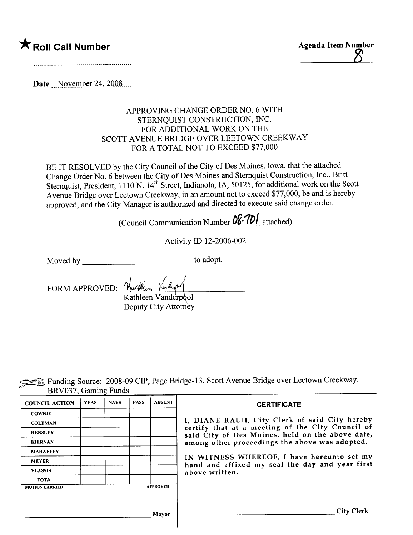



Date  $\frac{N_0}{24,2008}$ 

#### APPROVING CHANGE ORDER NO.6 WITH STERNQUIST CONSTRUCTION, INC. FOR ADDITIONAL WORK ON THE SCOTT AVENUE BRIDGE OVER LEETOWN CREEKWAY FOR A TOTAL NOT TO EXCEED \$77,000

BE IT RESOLVED by the City Council of the City of Des Moines, Iowa, that the attached Change Order No.6 between the City of Des Moines and Stemquist Construction, Inc., Britt Sternquist, President, 1110 N. 14<sup>th</sup> Street, Indianola, IA, 50125, for additional work on the Scott Avenue Bridge over Leetown Creekway, in an amount not to exceed \$77,000, be and is hereby approved, and the City Manager is authorized and directed to execute said change order.

(Council Communication Number  $\frac{\partial \mathcal{E}}{\partial U}$  attached)

Activity ID 12-2006-002

Moved by to adopt.

FORM APPROVED: Hullen Kuly Kathleen Vanderpool

Deputy City Attorney

E Funding Source: 2008-09 CIP, Page Bridge-13, Scott Avenue Bridge over Leetown Creekway, BRV037 Gaming Funds

| <b>COUNCIL ACTION</b> | <b>YEAS</b> | <b>NAYS</b> | <b>PASS</b> | <b>ABSENT</b>   | <b>CERTIFICATE</b>                                                                                |  |  |  |
|-----------------------|-------------|-------------|-------------|-----------------|---------------------------------------------------------------------------------------------------|--|--|--|
| <b>COWNIE</b>         |             |             |             |                 |                                                                                                   |  |  |  |
| <b>COLEMAN</b>        |             |             |             |                 | I, DIANE RAUH, City Clerk of said City hereby<br>certify that at a meeting of the City Council of |  |  |  |
| <b>HENSLEY</b>        |             |             |             |                 | said City of Des Moines, held on the above date,                                                  |  |  |  |
| <b>KIERNAN</b>        |             |             |             |                 | among other proceedings the above was adopted.                                                    |  |  |  |
| <b>MAHAFFEY</b>       |             |             |             |                 |                                                                                                   |  |  |  |
| <b>MEYER</b>          |             |             |             |                 | IN WITNESS WHEREOF, I have hereunto set my<br>hand and affixed my seal the day and year first     |  |  |  |
| <b>VLASSIS</b>        |             |             |             |                 | above written.                                                                                    |  |  |  |
| <b>TOTAL</b>          |             |             |             |                 |                                                                                                   |  |  |  |
| <b>MOTION CARRIED</b> |             |             |             | <b>APPROVED</b> |                                                                                                   |  |  |  |
|                       |             |             |             |                 |                                                                                                   |  |  |  |
|                       |             |             |             | Mayor           | <b>City Clerk</b>                                                                                 |  |  |  |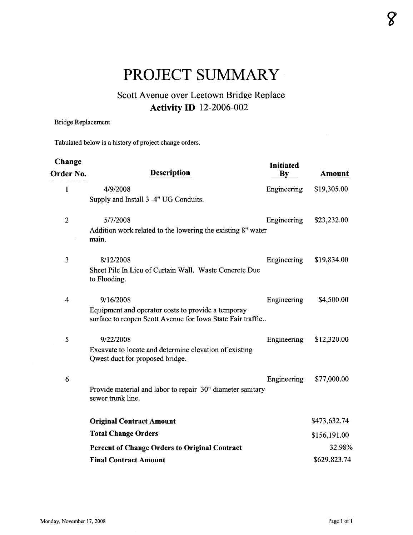# PROJECT SUMMARY

# Scott Avenue over Leetown Bridge Replace Activity ID 12-2006-002

#### Bridge Replacement

Tabulated below is a history of project change orders.

| Change         |                                                                                                                  | Initiated   |               |
|----------------|------------------------------------------------------------------------------------------------------------------|-------------|---------------|
| Order No.      | <b>Description</b>                                                                                               | By          | <b>Amount</b> |
| 1              | 4/9/2008                                                                                                         | Engineering | \$19,305.00   |
|                | Supply and Install 3 -4" UG Conduits.                                                                            |             |               |
| $\overline{2}$ | 5/7/2008                                                                                                         | Engineering | \$23,232.00   |
|                | Addition work related to the lowering the existing 8" water<br>main.                                             |             |               |
| 3              | 8/12/2008                                                                                                        | Engineering | \$19,834.00   |
|                | Sheet Pile In Lieu of Curtain Wall. Waste Concrete Due<br>to Flooding.                                           |             |               |
| 4              | 9/16/2008                                                                                                        | Engineering | \$4,500.00    |
|                | Equipment and operator costs to provide a temporay<br>surface to reopen Scott Avenue for Iowa State Fair traffic |             |               |
| 5              | 9/22/2008                                                                                                        | Engineering | \$12,320.00   |
|                | Excavate to locate and determine elevation of existing<br>Qwest duct for proposed bridge.                        |             |               |
| 6              |                                                                                                                  | Engineering | \$77,000.00   |
|                | Provide material and labor to repair 30" diameter sanitary<br>sewer trunk line.                                  |             |               |
|                | <b>Original Contract Amount</b>                                                                                  |             | \$473,632.74  |
|                | <b>Total Change Orders</b>                                                                                       |             | \$156,191.00  |
|                | <b>Percent of Change Orders to Original Contract</b>                                                             |             | 32.98%        |
|                | <b>Final Contract Amount</b>                                                                                     |             | \$629,823.74  |